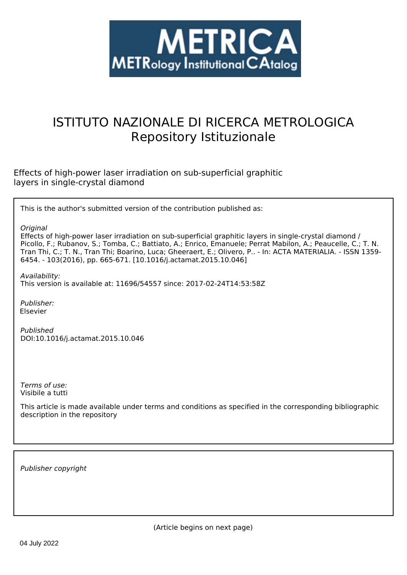

# ISTITUTO NAZIONALE DI RICERCA METROLOGICA Repository Istituzionale

Effects of high-power laser irradiation on sub-superficial graphitic layers in single-crystal diamond

This is the author's submitted version of the contribution published as:

*Original*

Effects of high-power laser irradiation on sub-superficial graphitic layers in single-crystal diamond / Picollo, F.; Rubanov, S.; Tomba, C.; Battiato, A.; Enrico, Emanuele; Perrat Mabilon, A.; Peaucelle, C.; T. N. Tran Thi, C.; T. N., Tran Thi; Boarino, Luca; Gheeraert, E.; Olivero, P.. - In: ACTA MATERIALIA. - ISSN 1359- 6454. - 103(2016), pp. 665-671. [10.1016/j.actamat.2015.10.046]

*Availability:* This version is available at: 11696/54557 since: 2017-02-24T14:53:58Z

*Publisher:* Elsevier

*Published* DOI:10.1016/j.actamat.2015.10.046

*Terms of use:* Visibile a tutti

This article is made available under terms and conditions as specified in the corresponding bibliographic description in the repository

*Publisher copyright*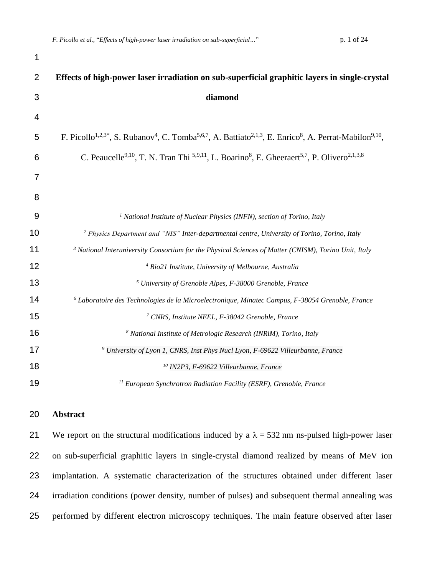| 1              |                                                                                                                                                                                  |
|----------------|----------------------------------------------------------------------------------------------------------------------------------------------------------------------------------|
| $\overline{2}$ | Effects of high-power laser irradiation on sub-superficial graphitic layers in single-crystal                                                                                    |
| 3              | diamond                                                                                                                                                                          |
| 4              |                                                                                                                                                                                  |
| 5              | F. Picollo <sup>1,2,3*</sup> , S. Rubanov <sup>4</sup> , C. Tomba <sup>5,6,7</sup> , A. Battiato <sup>2,1,3</sup> , E. Enrico <sup>8</sup> , A. Perrat-Mabilon <sup>9,10</sup> , |
| 6              | C. Peaucelle <sup>9,10</sup> , T. N. Tran Thi <sup>5,9,11</sup> , L. Boarino <sup>8</sup> , E. Gheeraert <sup>5,7</sup> , P. Olivero <sup>2,1,3,8</sup>                          |
| $\overline{7}$ |                                                                                                                                                                                  |
| 8              |                                                                                                                                                                                  |
| 9              | <sup>1</sup> National Institute of Nuclear Physics (INFN), section of Torino, Italy                                                                                              |
| 10             | <sup>2</sup> Physics Department and "NIS" Inter-departmental centre, University of Torino, Torino, Italy                                                                         |
| 11             | <sup>3</sup> National Interuniversity Consortium for the Physical Sciences of Matter (CNISM), Torino Unit, Italy                                                                 |
| 12             | <sup>4</sup> Bio21 Institute, University of Melbourne, Australia                                                                                                                 |
| 13             | <sup>5</sup> University of Grenoble Alpes, F-38000 Grenoble, France                                                                                                              |
| 14             | $^6$ Laboratoire des Technologies de la Microelectronique, Minatec Campus, F-38054 Grenoble, France                                                                              |
| 15             | <sup>7</sup> CNRS, Institute NEEL, F-38042 Grenoble, France                                                                                                                      |
| 16             | <sup>8</sup> National Institute of Metrologic Research (INRiM), Torino, Italy                                                                                                    |
| 17             | $9$ University of Lyon 1, CNRS, Inst Phys Nucl Lyon, F-69622 Villeurbanne, France                                                                                                |
| 18             | <sup>10</sup> IN2P3, F-69622 Villeurbanne, France                                                                                                                                |
| 19             | <sup>11</sup> European Synchrotron Radiation Facility (ESRF), Grenoble, France                                                                                                   |
|                |                                                                                                                                                                                  |

## **Abstract**

21 We report on the structural modifications induced by a  $\lambda = 532$  nm ns-pulsed high-power laser on sub-superficial graphitic layers in single-crystal diamond realized by means of MeV ion implantation. A systematic characterization of the structures obtained under different laser irradiation conditions (power density, number of pulses) and subsequent thermal annealing was performed by different electron microscopy techniques. The main feature observed after laser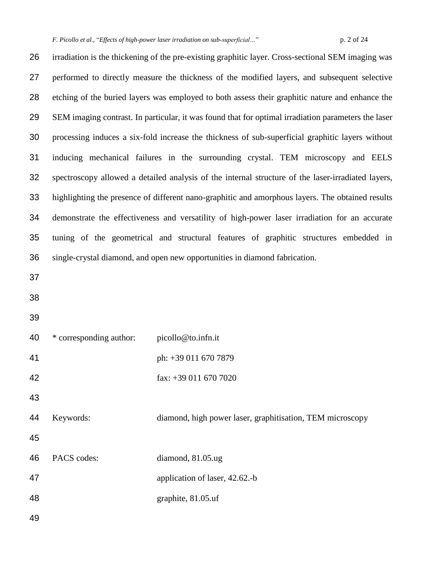*F. Picollo et al.,* "*Effects of high-power laser irradiation on sub-superficial…*" p. 2 of 24

 irradiation is the thickening of the pre-existing graphitic layer. Cross-sectional SEM imaging was performed to directly measure the thickness of the modified layers, and subsequent selective etching of the buried layers was employed to both assess their graphitic nature and enhance the SEM imaging contrast. In particular, it was found that for optimal irradiation parameters the laser processing induces a six-fold increase the thickness of sub-superficial graphitic layers without inducing mechanical failures in the surrounding crystal. TEM microscopy and EELS spectroscopy allowed a detailed analysis of the internal structure of the laser-irradiated layers, highlighting the presence of different nano-graphitic and amorphous layers. The obtained results demonstrate the effectiveness and versatility of high-power laser irradiation for an accurate tuning of the geometrical and structural features of graphitic structures embedded in single-crystal diamond, and open new opportunities in diamond fabrication. \* corresponding author: picollo@to.infn.it ph: +39 011 670 7879 fax: +39 011 670 7020 Keywords: diamond, high power laser, graphitisation, TEM microscopy PACS codes: diamond, 81.05.ug application of laser, 42.62.-b graphite, 81.05.uf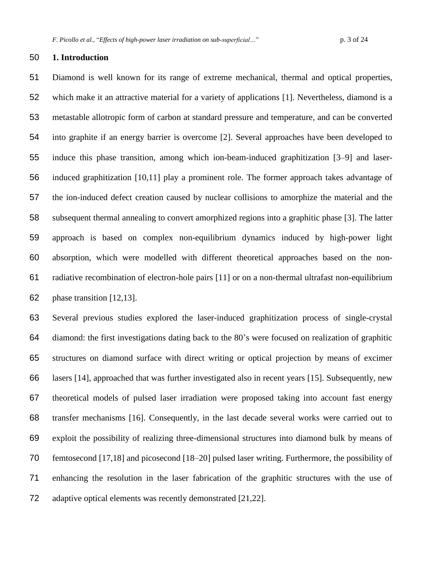## **1. Introduction**

 Diamond is well known for its range of extreme mechanical, thermal and optical properties, which make it an attractive material for a variety of applications [1]. Nevertheless, diamond is a metastable allotropic form of carbon at standard pressure and temperature, and can be converted into graphite if an energy barrier is overcome [2]. Several approaches have been developed to induce this phase transition, among which ion-beam-induced graphitization [3–9] and laser- induced graphitization [10,11] play a prominent role. The former approach takes advantage of the ion-induced defect creation caused by nuclear collisions to amorphize the material and the subsequent thermal annealing to convert amorphized regions into a graphitic phase [3]. The latter approach is based on complex non-equilibrium dynamics induced by high-power light absorption, which were modelled with different theoretical approaches based on the non- radiative recombination of electron-hole pairs [11] or on a non-thermal ultrafast non-equilibrium phase transition [12,13].

 Several previous studies explored the laser-induced graphitization process of single-crystal diamond: the first investigations dating back to the 80's were focused on realization of graphitic structures on diamond surface with direct writing or optical projection by means of excimer lasers [14], approached that was further investigated also in recent years [15]. Subsequently, new theoretical models of pulsed laser irradiation were proposed taking into account fast energy transfer mechanisms [16]. Consequently, in the last decade several works were carried out to exploit the possibility of realizing three-dimensional structures into diamond bulk by means of femtosecond [17,18] and picosecond [18–20] pulsed laser writing. Furthermore, the possibility of enhancing the resolution in the laser fabrication of the graphitic structures with the use of adaptive optical elements was recently demonstrated [21,22].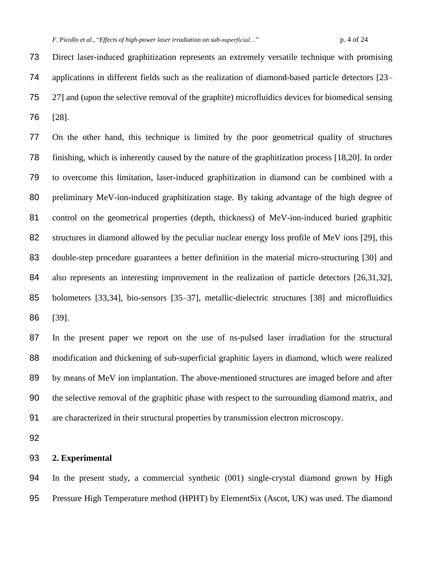Direct laser-induced graphitization represents an extremely versatile technique with promising applications in different fields such as the realization of diamond-based particle detectors [23– 27] and (upon the selective removal of the graphite) microfluidics devices for biomedical sensing [28].

 On the other hand, this technique is limited by the poor geometrical quality of structures finishing, which is inherently caused by the nature of the graphitization process [18,20]. In order to overcome this limitation, laser-induced graphitization in diamond can be combined with a preliminary MeV-ion-induced graphitization stage. By taking advantage of the high degree of control on the geometrical properties (depth, thickness) of MeV-ion-induced buried graphitic 82 structures in diamond allowed by the peculiar nuclear energy loss profile of MeV ions [29], this double-step procedure guarantees a better definition in the material micro-structuring [30] and also represents an interesting improvement in the realization of particle detectors [26,31,32], bolometers [33,34], bio-sensors [35–37], metallic-dielectric structures [38] and microfluidics [39].

 In the present paper we report on the use of ns-pulsed laser irradiation for the structural modification and thickening of sub-superficial graphitic layers in diamond, which were realized by means of MeV ion implantation. The above-mentioned structures are imaged before and after the selective removal of the graphitic phase with respect to the surrounding diamond matrix, and are characterized in their structural properties by transmission electron microscopy.

### **2. Experimental**

 In the present study, a commercial synthetic (001) single-crystal diamond grown by High Pressure High Temperature method (HPHT) by ElementSix (Ascot, UK) was used. The diamond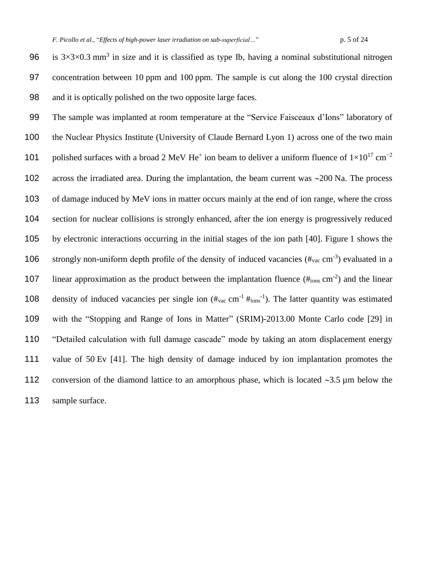96 is  $3\times3\times0.3$  mm<sup>3</sup> in size and it is classified as type Ib, having a nominal substitutional nitrogen 97 concentration between 10 ppm and 100 ppm. The sample is cut along the 100 crystal direction 98 and it is optically polished on the two opposite large faces.

99 The sample was implanted at room temperature at the "Service Faisceaux d'Ions" laboratory of 100 the Nuclear Physics Institute (University of Claude Bernard Lyon 1) across one of the two main 101 polished surfaces with a broad 2 MeV He<sup>+</sup> ion beam to deliver a uniform fluence of  $1\times10^{17}$  cm<sup>-2</sup> 102 across the irradiated area. During the implantation, the beam current was  $\sim$ 200 Na. The process 103 of damage induced by MeV ions in matter occurs mainly at the end of ion range, where the cross 104 section for nuclear collisions is strongly enhanced, after the ion energy is progressively reduced 105 by electronic interactions occurring in the initial stages of the ion path [40]. Figure 1 shows the 106 strongly non-uniform depth profile of the density of induced vacancies  $(\#_{\text{vac}} \text{ cm}^{-3})$  evaluated in a 107 linear approximation as the product between the implantation fluence  $(\#_{ions} \text{ cm}^{-2})$  and the linear 108 density of induced vacancies per single ion  $(\#_{\text{vac}} \text{ cm}^{-1} \#_{\text{ions}}^{-1})$ . The latter quantity was estimated 109 with the "Stopping and Range of Ions in Matter" (SRIM)-2013.00 Monte Carlo code [29] in 110 "Detailed calculation with full damage cascade" mode by taking an atom displacement energy 111 value of 50 Ev [41]. The high density of damage induced by ion implantation promotes the 112 conversion of the diamond lattice to an amorphous phase, which is located  $\sim$ 3.5  $\mu$ m below the 113 sample surface.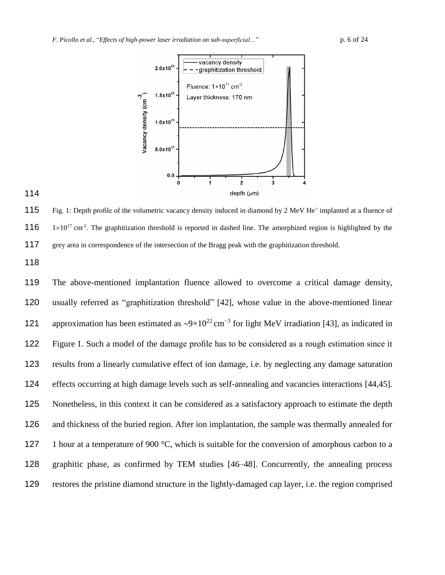

115 Fig. 1: Depth profile of the volumetric vacancy density induced in diamond by 2 MeV He<sup>+</sup> implanted at a fluence of 116  $1 \times 10^{17}$  cm<sup>-2</sup>. The graphitization threshold is reported in dashed line. The amorphized region is highlighted by the grey area in correspondence of the intersection of the Bragg peak with the graphitization threshold.

 The above-mentioned implantation fluence allowed to overcome a critical damage density, usually referred as "graphitization threshold" [42], whose value in the above-mentioned linear 121 approximation has been estimated as  $\sim 9 \times 10^{22}$  cm<sup>-3</sup> for light MeV irradiation [43], as indicated in Figure 1. Such a model of the damage profile has to be considered as a rough estimation since it results from a linearly cumulative effect of ion damage, i.e. by neglecting any damage saturation effects occurring at high damage levels such as self-annealing and vacancies interactions [44,45]. Nonetheless, in this context it can be considered as a satisfactory approach to estimate the depth and thickness of the buried region. After ion implantation, the sample was thermally annealed for 127 1 hour at a temperature of 900  $\degree$ C, which is suitable for the conversion of amorphous carbon to a graphitic phase, as confirmed by TEM studies [46–48]. Concurrently, the annealing process restores the pristine diamond structure in the lightly-damaged cap layer, i.e. the region comprised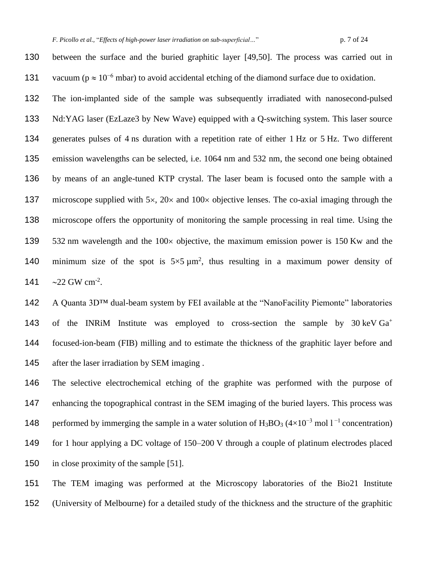between the surface and the buried graphitic layer [49,50]. The process was carried out in 131 vacuum ( $p \approx 10^{-6}$  mbar) to avoid accidental etching of the diamond surface due to oxidation. The ion-implanted side of the sample was subsequently irradiated with nanosecond-pulsed Nd:YAG laser (EzLaze3 by New Wave) equipped with a Q-switching system. This laser source generates pulses of 4 ns duration with a repetition rate of either 1 Hz or 5 Hz. Two different emission wavelengths can be selected, i.e. 1064 nm and 532 nm, the second one being obtained by means of an angle-tuned KTP crystal. The laser beam is focused onto the sample with a 137 microscope supplied with  $5 \times$ ,  $20 \times$  and  $100 \times$  objective lenses. The co-axial imaging through the microscope offers the opportunity of monitoring the sample processing in real time. Using the  $532 \text{ nm}$  wavelength and the  $100 \times$  objective, the maximum emission power is 150 Kw and the 140 minimum size of the spot is  $5\times 5 \mu m^2$ , thus resulting in a maximum power density of  $\sim$  22 GW cm<sup>-2</sup>.

142 A Quanta 3D™ dual-beam system by FEI available at the "NanoFacility Piemonte" laboratories 143 of the INRiM Institute was employed to cross-section the sample by  $30 \text{ keV} \text{Ga}^+$ 144 focused-ion-beam (FIB) milling and to estimate the thickness of the graphitic layer before and 145 after the laser irradiation by SEM imaging.

146 The selective electrochemical etching of the graphite was performed with the purpose of 147 enhancing the topographical contrast in the SEM imaging of the buried layers. This process was 148 performed by immerging the sample in a water solution of  $H_3BO_3$  (4×10<sup>-3</sup> mol 1<sup>-1</sup> concentration) 149 for 1 hour applying a DC voltage of 150–200 V through a couple of platinum electrodes placed 150 in close proximity of the sample [51].

151 The TEM imaging was performed at the Microscopy laboratories of the Bio21 Institute 152 (University of Melbourne) for a detailed study of the thickness and the structure of the graphitic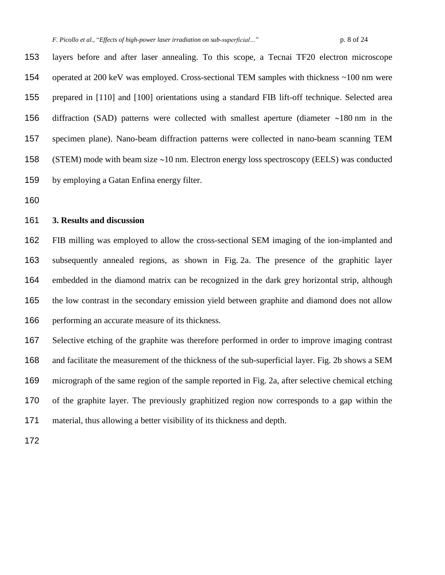*F. Picollo et al.,* "*Effects of high-power laser irradiation on sub-superficial…*" p. 8 of 24

 layers before and after laser annealing. To this scope, a Tecnai TF20 electron microscope operated at 200 keV was employed. Cross-sectional TEM samples with thickness ~100 nm were prepared in [110] and [100] orientations using a standard FIB lift-off technique. Selected area 156 diffraction (SAD) patterns were collected with smallest aperture (diameter  $\sim$ 180 nm in the specimen plane). Nano-beam diffraction patterns were collected in nano-beam scanning TEM 158 (STEM) mode with beam size  $\sim$ 10 nm. Electron energy loss spectroscopy (EELS) was conducted by employing a Gatan Enfina energy filter.

## **3. Results and discussion**

 FIB milling was employed to allow the cross-sectional SEM imaging of the ion-implanted and subsequently annealed regions, as shown in Fig. 2a. The presence of the graphitic layer embedded in the diamond matrix can be recognized in the dark grey horizontal strip, although the low contrast in the secondary emission yield between graphite and diamond does not allow performing an accurate measure of its thickness.

 Selective etching of the graphite was therefore performed in order to improve imaging contrast and facilitate the measurement of the thickness of the sub-superficial layer. Fig. 2b shows a SEM micrograph of the same region of the sample reported in Fig. 2a, after selective chemical etching of the graphite layer. The previously graphitized region now corresponds to a gap within the material, thus allowing a better visibility of its thickness and depth.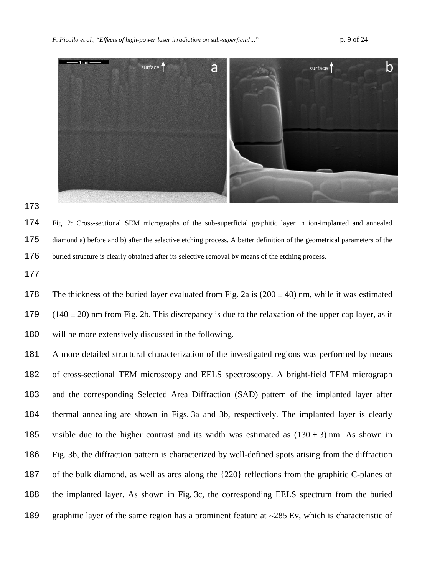*F. Picollo et al.,* "*Effects of high-power laser irradiation on sub-superficial…*" p. 9 of 24





 Fig. 2: Cross-sectional SEM micrographs of the sub-superficial graphitic layer in ion-implanted and annealed 175 diamond a) before and b) after the selective etching process. A better definition of the geometrical parameters of the 176 buried structure is clearly obtained after its selective removal by means of the etching process.

178 The thickness of the buried layer evaluated from Fig. 2a is  $(200 \pm 40)$  nm, while it was estimated 179 (140  $\pm$  20) nm from Fig. 2b. This discrepancy is due to the relaxation of the upper cap layer, as it will be more extensively discussed in the following.

 A more detailed structural characterization of the investigated regions was performed by means of cross-sectional TEM microscopy and EELS spectroscopy. A bright-field TEM micrograph and the corresponding Selected Area Diffraction (SAD) pattern of the implanted layer after thermal annealing are shown in Figs. 3a and 3b, respectively. The implanted layer is clearly 185 visible due to the higher contrast and its width was estimated as  $(130 \pm 3)$  nm. As shown in Fig. 3b, the diffraction pattern is characterized by well-defined spots arising from the diffraction of the bulk diamond, as well as arcs along the {220} reflections from the graphitic C-planes of the implanted layer. As shown in Fig. 3c, the corresponding EELS spectrum from the buried 189 graphitic layer of the same region has a prominent feature at  $\sim$ 285 Ev, which is characteristic of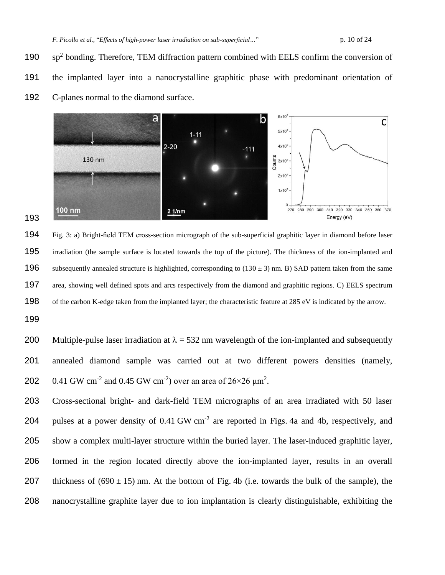- $190 \text{ s}$  sp<sup>2</sup> bonding. Therefore, TEM diffraction pattern combined with EELS confirm the conversion of
- 191 the implanted layer into a nanocrystalline graphitic phase with predominant orientation of
- 192 C-planes normal to the diamond surface.



193

194 Fig. 3: a) Bright-field TEM cross-section micrograph of the sub-superficial graphitic layer in diamond before laser 195 irradiation (the sample surface is located towards the top of the picture). The thickness of the ion-implanted and 196 subsequently annealed structure is highlighted, corresponding to (130  $\pm$  3) nm. B) SAD pattern taken from the same 197 area, showing well defined spots and arcs respectively from the diamond and graphitic regions. C) EELS spectrum 198 of the carbon K-edge taken from the implanted layer; the characteristic feature at 285 eV is indicated by the arrow.

200 Multiple-pulse laser irradiation at  $\lambda = 532$  nm wavelength of the ion-implanted and subsequently 201 annealed diamond sample was carried out at two different powers densities (namely, 202 0.41 GW cm<sup>-2</sup> and 0.45 GW cm<sup>-2</sup>) over an area of  $26 \times 26$   $\mu$ m<sup>2</sup>.

 Cross-sectional bright- and dark-field TEM micrographs of an area irradiated with 50 laser 204 pulses at a power density of 0.41 GW cm<sup>-2</sup> are reported in Figs. 4a and 4b, respectively, and show a complex multi-layer structure within the buried layer. The laser-induced graphitic layer, formed in the region located directly above the ion-implanted layer, results in an overall 207 thickness of  $(690 \pm 15)$  nm. At the bottom of Fig. 4b (i.e. towards the bulk of the sample), the nanocrystalline graphite layer due to ion implantation is clearly distinguishable, exhibiting the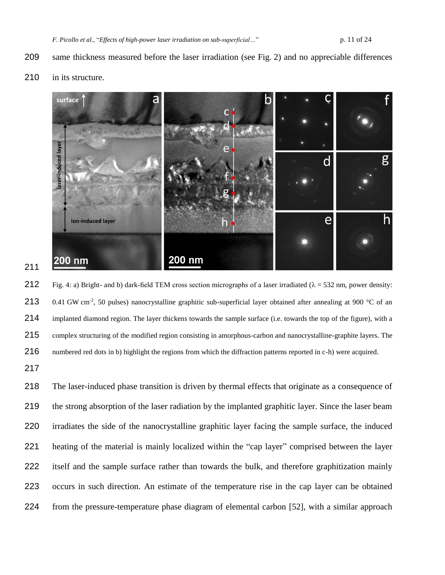- same thickness measured before the laser irradiation (see Fig. 2) and no appreciable differences
- in its structure.



212 Fig. 4: a) Bright- and b) dark-field TEM cross section micrographs of a laser irradiated ( $\lambda = 532$  nm, power density: 213 0.41 GW cm<sup>-2</sup>, 50 pulses) nanocrystalline graphitic sub-superficial layer obtained after annealing at 900 °C of an implanted diamond region. The layer thickens towards the sample surface (i.e. towards the top of the figure), with a 215 complex structuring of the modified region consisting in amorphous-carbon and nanocrystalline-graphite layers. The numbered red dots in b) highlight the regions from which the diffraction patterns reported in c-h) were acquired.

 The laser-induced phase transition is driven by thermal effects that originate as a consequence of the strong absorption of the laser radiation by the implanted graphitic layer. Since the laser beam irradiates the side of the nanocrystalline graphitic layer facing the sample surface, the induced heating of the material is mainly localized within the "cap layer" comprised between the layer itself and the sample surface rather than towards the bulk, and therefore graphitization mainly occurs in such direction. An estimate of the temperature rise in the cap layer can be obtained from the pressure-temperature phase diagram of elemental carbon [52], with a similar approach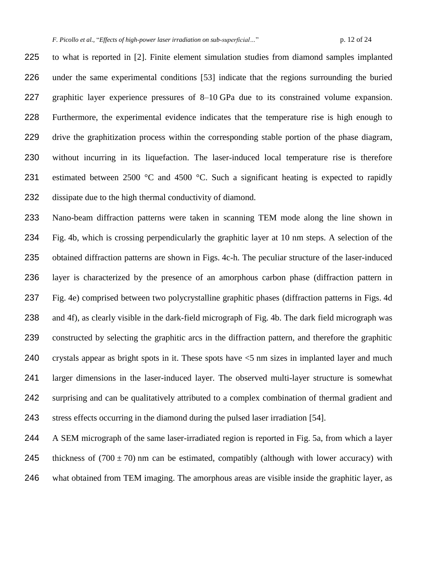*F. Picollo et al.,* "*Effects of high-power laser irradiation on sub-superficial…*" p. 12 of 24

 to what is reported in [2]. Finite element simulation studies from diamond samples implanted under the same experimental conditions [53] indicate that the regions surrounding the buried graphitic layer experience pressures of 8–10 GPa due to its constrained volume expansion. Furthermore, the experimental evidence indicates that the temperature rise is high enough to drive the graphitization process within the corresponding stable portion of the phase diagram, without incurring in its liquefaction. The laser-induced local temperature rise is therefore 231 estimated between 2500 °C and 4500 °C. Such a significant heating is expected to rapidly dissipate due to the high thermal conductivity of diamond.

 Nano-beam diffraction patterns were taken in scanning TEM mode along the line shown in Fig. 4b, which is crossing perpendicularly the graphitic layer at 10 nm steps. A selection of the obtained diffraction patterns are shown in Figs. 4c-h. The peculiar structure of the laser-induced layer is characterized by the presence of an amorphous carbon phase (diffraction pattern in Fig. 4e) comprised between two polycrystalline graphitic phases (diffraction patterns in Figs. 4d and 4f), as clearly visible in the dark-field micrograph of Fig. 4b. The dark field micrograph was constructed by selecting the graphitic arcs in the diffraction pattern, and therefore the graphitic crystals appear as bright spots in it. These spots have <5 nm sizes in implanted layer and much larger dimensions in the laser-induced layer. The observed multi-layer structure is somewhat surprising and can be qualitatively attributed to a complex combination of thermal gradient and stress effects occurring in the diamond during the pulsed laser irradiation [54].

 A SEM micrograph of the same laser-irradiated region is reported in Fig. 5a, from which a layer 245 thickness of  $(700 \pm 70)$  nm can be estimated, compatibly (although with lower accuracy) with what obtained from TEM imaging. The amorphous areas are visible inside the graphitic layer, as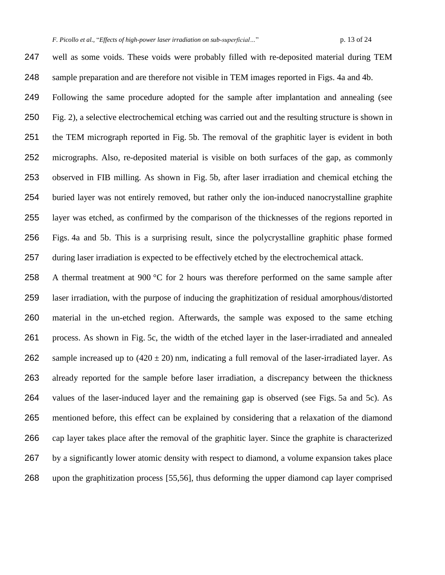*F. Picollo et al.,* "*Effects of high-power laser irradiation on sub-superficial…*" p. 13 of 24

 well as some voids. These voids were probably filled with re-deposited material during TEM sample preparation and are therefore not visible in TEM images reported in Figs. 4a and 4b. Following the same procedure adopted for the sample after implantation and annealing (see Fig. 2), a selective electrochemical etching was carried out and the resulting structure is shown in the TEM micrograph reported in Fig. 5b. The removal of the graphitic layer is evident in both micrographs. Also, re-deposited material is visible on both surfaces of the gap, as commonly observed in FIB milling. As shown in Fig. 5b, after laser irradiation and chemical etching the buried layer was not entirely removed, but rather only the ion-induced nanocrystalline graphite layer was etched, as confirmed by the comparison of the thicknesses of the regions reported in Figs. 4a and 5b. This is a surprising result, since the polycrystalline graphitic phase formed during laser irradiation is expected to be effectively etched by the electrochemical attack.

258 A thermal treatment at 900  $\degree$ C for 2 hours was therefore performed on the same sample after laser irradiation, with the purpose of inducing the graphitization of residual amorphous/distorted material in the un-etched region. Afterwards, the sample was exposed to the same etching process. As shown in Fig. 5c, the width of the etched layer in the laser-irradiated and annealed 262 sample increased up to  $(420 \pm 20)$  nm, indicating a full removal of the laser-irradiated layer. As already reported for the sample before laser irradiation, a discrepancy between the thickness values of the laser-induced layer and the remaining gap is observed (see Figs. 5a and 5c). As mentioned before, this effect can be explained by considering that a relaxation of the diamond cap layer takes place after the removal of the graphitic layer. Since the graphite is characterized by a significantly lower atomic density with respect to diamond, a volume expansion takes place upon the graphitization process [55,56], thus deforming the upper diamond cap layer comprised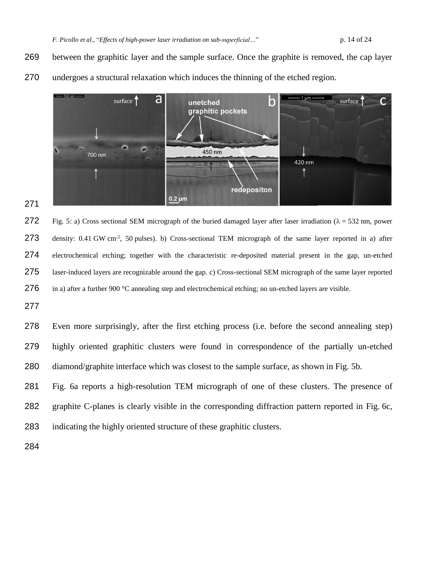- between the graphitic layer and the sample surface. Once the graphite is removed, the cap layer
- undergoes a structural relaxation which induces the thinning of the etched region.



272 Fig. 5: a) Cross sectional SEM micrograph of the buried damaged layer after laser irradiation ( $\lambda = 532$  nm, power 273 density: 0.41 GW cm<sup>-2</sup>, 50 pulses). b) Cross-sectional TEM micrograph of the same layer reported in a) after electrochemical etching; together with the characteristic re-deposited material present in the gap, un-etched laser-induced layers are recognizable around the gap. c) Cross-sectional SEM micrograph of the same layer reported 276 in a) after a further 900 °C annealing step and electrochemical etching; no un-etched layers are visible.

 Even more surprisingly, after the first etching process (i.e. before the second annealing step) highly oriented graphitic clusters were found in correspondence of the partially un-etched diamond/graphite interface which was closest to the sample surface, as shown in Fig. 5b.

 Fig. 6a reports a high-resolution TEM micrograph of one of these clusters. The presence of graphite C-planes is clearly visible in the corresponding diffraction pattern reported in Fig. 6c, indicating the highly oriented structure of these graphitic clusters.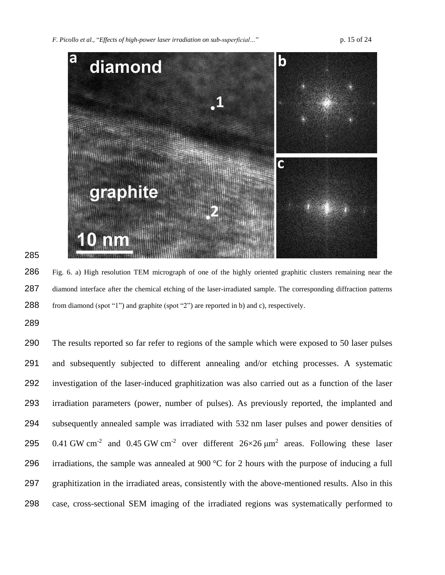*F. Picollo et al.,* "*Effects of high-power laser irradiation on sub-superficial…*" p. 15 of 24



 Fig. 6. a) High resolution TEM micrograph of one of the highly oriented graphitic clusters remaining near the 287 diamond interface after the chemical etching of the laser-irradiated sample. The corresponding diffraction patterns 288 from diamond (spot "1") and graphite (spot "2") are reported in b) and c), respectively.

 The results reported so far refer to regions of the sample which were exposed to 50 laser pulses and subsequently subjected to different annealing and/or etching processes. A systematic investigation of the laser-induced graphitization was also carried out as a function of the laser irradiation parameters (power, number of pulses). As previously reported, the implanted and subsequently annealed sample was irradiated with 532 nm laser pulses and power densities of 295 0.41 GW cm<sup>-2</sup> and 0.45 GW cm<sup>-2</sup> over different  $26\times26 \mu m^2$  areas. Following these laser 296 irradiations, the sample was annealed at 900  $\degree$ C for 2 hours with the purpose of inducing a full graphitization in the irradiated areas, consistently with the above-mentioned results. Also in this case, cross-sectional SEM imaging of the irradiated regions was systematically performed to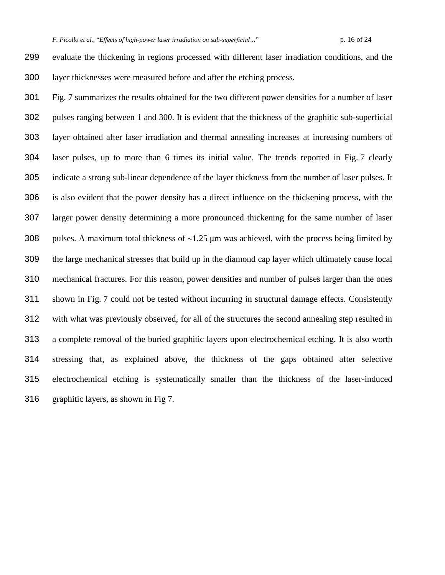evaluate the thickening in regions processed with different laser irradiation conditions, and the layer thicknesses were measured before and after the etching process.

 Fig. 7 summarizes the results obtained for the two different power densities for a number of laser pulses ranging between 1 and 300. It is evident that the thickness of the graphitic sub-superficial layer obtained after laser irradiation and thermal annealing increases at increasing numbers of laser pulses, up to more than 6 times its initial value. The trends reported in Fig. 7 clearly indicate a strong sub-linear dependence of the layer thickness from the number of laser pulses. It is also evident that the power density has a direct influence on the thickening process, with the larger power density determining a more pronounced thickening for the same number of laser 308 pulses. A maximum total thickness of  $\sim$ 1.25  $\mu$ m was achieved, with the process being limited by the large mechanical stresses that build up in the diamond cap layer which ultimately cause local mechanical fractures. For this reason, power densities and number of pulses larger than the ones shown in Fig. 7 could not be tested without incurring in structural damage effects. Consistently with what was previously observed, for all of the structures the second annealing step resulted in a complete removal of the buried graphitic layers upon electrochemical etching. It is also worth stressing that, as explained above, the thickness of the gaps obtained after selective electrochemical etching is systematically smaller than the thickness of the laser-induced graphitic layers, as shown in Fig 7.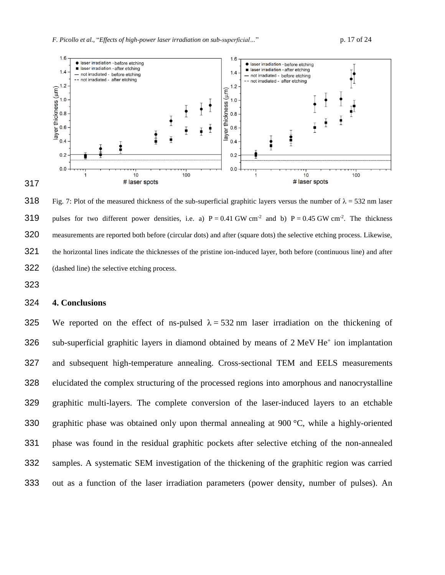

318 Fig. 7: Plot of the measured thickness of the sub-superficial graphitic layers versus the number of  $\lambda = 532$  nm laser 319 pulses for two different power densities, i.e. a)  $P = 0.41$  GW cm<sup>-2</sup> and b)  $P = 0.45$  GW cm<sup>-2</sup>. The thickness measurements are reported both before (circular dots) and after (square dots) the selective etching process. Likewise, the horizontal lines indicate the thicknesses of the pristine ion-induced layer, both before (continuous line) and after (dashed line) the selective etching process.

#### **4. Conclusions**

325 We reported on the effect of ns-pulsed  $\lambda = 532$  nm laser irradiation on the thickening of sub-superficial graphitic layers in diamond obtained by means of 2 MeV He<sup>+</sup> ion implantation and subsequent high-temperature annealing. Cross-sectional TEM and EELS measurements elucidated the complex structuring of the processed regions into amorphous and nanocrystalline graphitic multi-layers. The complete conversion of the laser-induced layers to an etchable graphitic phase was obtained only upon thermal annealing at 900 °C, while a highly-oriented phase was found in the residual graphitic pockets after selective etching of the non-annealed samples. A systematic SEM investigation of the thickening of the graphitic region was carried out as a function of the laser irradiation parameters (power density, number of pulses). An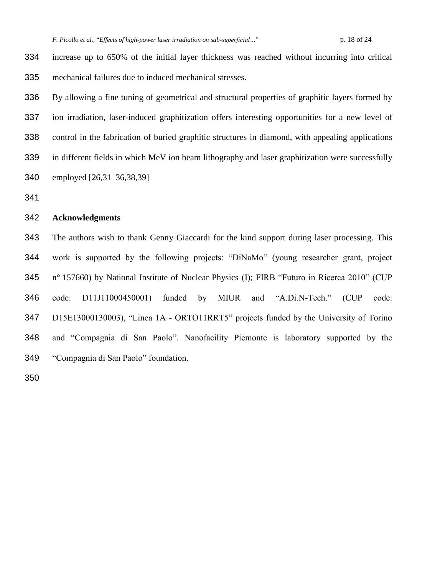increase up to 650% of the initial layer thickness was reached without incurring into critical mechanical failures due to induced mechanical stresses.

 By allowing a fine tuning of geometrical and structural properties of graphitic layers formed by ion irradiation, laser-induced graphitization offers interesting opportunities for a new level of control in the fabrication of buried graphitic structures in diamond, with appealing applications in different fields in which MeV ion beam lithography and laser graphitization were successfully employed [26,31–36,38,39]

## **Acknowledgments**

 The authors wish to thank Genny Giaccardi for the kind support during laser processing. This work is supported by the following projects: "DiNaMo" (young researcher grant, project n° 157660) by National Institute of Nuclear Physics (I); FIRB "Futuro in Ricerca 2010" (CUP code: D11J11000450001) funded by MIUR and "A.Di.N-Tech." (CUP code: D15E13000130003), "Linea 1A - ORTO11RRT5" projects funded by the University of Torino and "Compagnia di San Paolo". Nanofacility Piemonte is laboratory supported by the "Compagnia di San Paolo" foundation.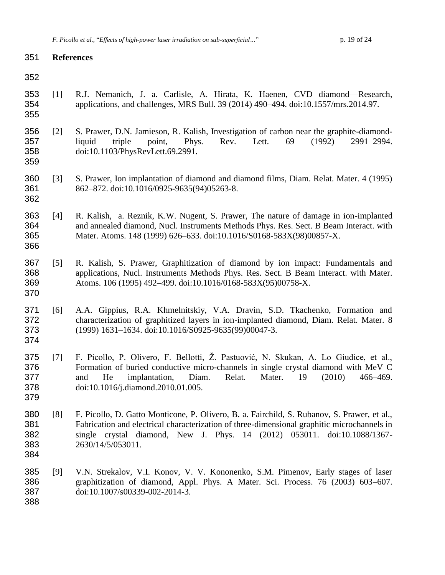| 351                             |                   | <b>References</b>                                                                                                                                                                                                                                                                           |
|---------------------------------|-------------------|---------------------------------------------------------------------------------------------------------------------------------------------------------------------------------------------------------------------------------------------------------------------------------------------|
| 352                             |                   |                                                                                                                                                                                                                                                                                             |
| 353<br>354<br>355               | $\lceil 1 \rceil$ | R.J. Nemanich, J. a. Carlisle, A. Hirata, K. Haenen, CVD diamond—Research,<br>applications, and challenges, MRS Bull. 39 (2014) 490–494. doi:10.1557/mrs.2014.97.                                                                                                                           |
| 356<br>357<br>358<br>359        | $[2]$             | S. Prawer, D.N. Jamieson, R. Kalish, Investigation of carbon near the graphite-diamond-<br>liquid<br>triple<br>point,<br>Rev.<br>Lett.<br>69<br>(1992)<br>2991-2994.<br>Phys.<br>doi:10.1103/PhysRevLett.69.2991.                                                                           |
| 360<br>361<br>362               | $[3]$             | S. Prawer, Ion implantation of diamond and diamond films, Diam. Relat. Mater. 4 (1995)<br>862-872. doi:10.1016/0925-9635(94)05263-8.                                                                                                                                                        |
| 363<br>364<br>365<br>366        | $[4]$             | R. Kalish, a. Reznik, K.W. Nugent, S. Prawer, The nature of damage in ion-implanted<br>and annealed diamond, Nucl. Instruments Methods Phys. Res. Sect. B Beam Interact. with<br>Mater. Atoms. 148 (1999) 626-633. doi:10.1016/S0168-583X(98)00857-X.                                       |
| 367<br>368<br>369<br>370        | $\lceil 5 \rceil$ | R. Kalish, S. Prawer, Graphitization of diamond by ion impact: Fundamentals and<br>applications, Nucl. Instruments Methods Phys. Res. Sect. B Beam Interact. with Mater.<br>Atoms. 106 (1995) 492-499. doi:10.1016/0168-583X(95)00758-X.                                                    |
| 371<br>372<br>373<br>374        | [6]               | A.A. Gippius, R.A. Khmelnitskiy, V.A. Dravin, S.D. Tkachenko, Formation and<br>characterization of graphitized layers in ion-implanted diamond, Diam. Relat. Mater. 8<br>(1999) 1631-1634. doi:10.1016/S0925-9635(99)00047-3.                                                               |
| 375<br>376<br>377<br>378<br>379 | $[7]$             | F. Picollo, P. Olivero, F. Bellotti, Ž. Pastuović, N. Skukan, A. Lo Giudice, et al.,<br>Formation of buried conductive micro-channels in single crystal diamond with MeV C<br>and He implantation, Diam. Relat. Mater. 19 (2010) 466–469.<br>doi:10.1016/j.diamond.2010.01.005.             |
| 380<br>381<br>382<br>383<br>384 | [8]               | F. Picollo, D. Gatto Monticone, P. Olivero, B. a. Fairchild, S. Rubanov, S. Prawer, et al.,<br>Fabrication and electrical characterization of three-dimensional graphitic microchannels in<br>single crystal diamond, New J. Phys. 14 (2012) 053011. doi:10.1088/1367-<br>2630/14/5/053011. |
| 385<br>386<br>387<br>388        | [9]               | V.N. Strekalov, V.I. Konov, V. V. Kononenko, S.M. Pimenov, Early stages of laser<br>graphitization of diamond, Appl. Phys. A Mater. Sci. Process. 76 (2003) 603-607.<br>doi:10.1007/s00339-002-2014-3.                                                                                      |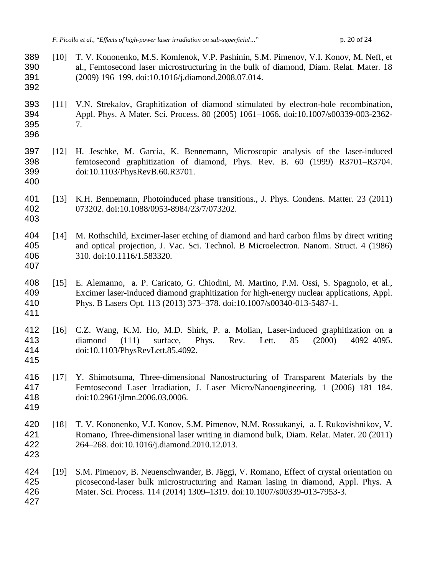- [10] T. V. Kononenko, M.S. Komlenok, V.P. Pashinin, S.M. Pimenov, V.I. Konov, M. Neff, et al., Femtosecond laser microstructuring in the bulk of diamond, Diam. Relat. Mater. 18 (2009) 196–199. doi:10.1016/j.diamond.2008.07.014.
- [11] V.N. Strekalov, Graphitization of diamond stimulated by electron-hole recombination, Appl. Phys. A Mater. Sci. Process. 80 (2005) 1061–1066. doi:10.1007/s00339-003-2362- 7.
- 
- [12] H. Jeschke, M. Garcia, K. Bennemann, Microscopic analysis of the laser-induced femtosecond graphitization of diamond, Phys. Rev. B. 60 (1999) R3701–R3704. doi:10.1103/PhysRevB.60.R3701.
- [13] K.H. Bennemann, Photoinduced phase transitions., J. Phys. Condens. Matter. 23 (2011) 073202. doi:10.1088/0953-8984/23/7/073202.
- 
- [14] M. Rothschild, Excimer-laser etching of diamond and hard carbon films by direct writing and optical projection, J. Vac. Sci. Technol. B Microelectron. Nanom. Struct. 4 (1986) 310. doi:10.1116/1.583320.
- [15] E. Alemanno, a. P. Caricato, G. Chiodini, M. Martino, P.M. Ossi, S. Spagnolo, et al., Excimer laser-induced diamond graphitization for high-energy nuclear applications, Appl. Phys. B Lasers Opt. 113 (2013) 373–378. doi:10.1007/s00340-013-5487-1.
- 
- [16] C.Z. Wang, K.M. Ho, M.D. Shirk, P. a. Molian, Laser-induced graphitization on a diamond (111) surface, Phys. Rev. Lett. 85 (2000) 4092–4095. doi:10.1103/PhysRevLett.85.4092.
- [17] Y. Shimotsuma, Three-dimensional Nanostructuring of Transparent Materials by the Femtosecond Laser Irradiation, J. Laser Micro/Nanoengineering. 1 (2006) 181–184. doi:10.2961/jlmn.2006.03.0006.
- 
- [18] T. V. Kononenko, V.I. Konov, S.M. Pimenov, N.M. Rossukanyi, a. I. Rukovishnikov, V. 421 Romano, Three-dimensional laser writing in diamond bulk, Diam. Relat. Mater. 20 (2011)<br>422 264–268. doi:10.1016/j.diamond.2010.12.013. 264–268. doi:10.1016/j.diamond.2010.12.013.
- 
- [19] S.M. Pimenov, B. Neuenschwander, B. Jäggi, V. Romano, Effect of crystal orientation on picosecond-laser bulk microstructuring and Raman lasing in diamond, Appl. Phys. A Mater. Sci. Process. 114 (2014) 1309–1319. doi:10.1007/s00339-013-7953-3.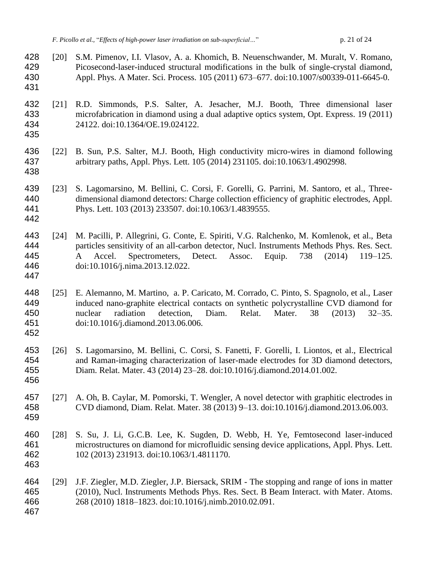*F. Picollo et al.,* "*Effects of high-power laser irradiation on sub-superficial…*" p. 21 of 24

- [20] S.M. Pimenov, I.I. Vlasov, A. a. Khomich, B. Neuenschwander, M. Muralt, V. Romano, Picosecond-laser-induced structural modifications in the bulk of single-crystal diamond, Appl. Phys. A Mater. Sci. Process. 105 (2011) 673–677. doi:10.1007/s00339-011-6645-0.
- [21] R.D. Simmonds, P.S. Salter, A. Jesacher, M.J. Booth, Three dimensional laser microfabrication in diamond using a dual adaptive optics system, Opt. Express. 19 (2011) 24122. doi:10.1364/OE.19.024122.
- 
- [22] B. Sun, P.S. Salter, M.J. Booth, High conductivity micro-wires in diamond following arbitrary paths, Appl. Phys. Lett. 105 (2014) 231105. doi:10.1063/1.4902998.
- 
- [23] S. Lagomarsino, M. Bellini, C. Corsi, F. Gorelli, G. Parrini, M. Santoro, et al., Three- dimensional diamond detectors: Charge collection efficiency of graphitic electrodes, Appl. Phys. Lett. 103 (2013) 233507. doi:10.1063/1.4839555.
- 
- [24] M. Pacilli, P. Allegrini, G. Conte, E. Spiriti, V.G. Ralchenko, M. Komlenok, et al., Beta particles sensitivity of an all-carbon detector, Nucl. Instruments Methods Phys. Res. Sect. A Accel. Spectrometers, Detect. Assoc. Equip. 738 (2014) 119–125. doi:10.1016/j.nima.2013.12.022.
- [25] E. Alemanno, M. Martino, a. P. Caricato, M. Corrado, C. Pinto, S. Spagnolo, et al., Laser induced nano-graphite electrical contacts on synthetic polycrystalline CVD diamond for nuclear radiation detection, Diam. Relat. Mater. 38 (2013) 32–35. doi:10.1016/j.diamond.2013.06.006.
- 
- [26] S. Lagomarsino, M. Bellini, C. Corsi, S. Fanetti, F. Gorelli, I. Liontos, et al., Electrical and Raman-imaging characterization of laser-made electrodes for 3D diamond detectors, Diam. Relat. Mater. 43 (2014) 23–28. doi:10.1016/j.diamond.2014.01.002.
- [27] A. Oh, B. Caylar, M. Pomorski, T. Wengler, A novel detector with graphitic electrodes in CVD diamond, Diam. Relat. Mater. 38 (2013) 9–13. doi:10.1016/j.diamond.2013.06.003.
- [28] S. Su, J. Li, G.C.B. Lee, K. Sugden, D. Webb, H. Ye, Femtosecond laser-induced microstructures on diamond for microfluidic sensing device applications, Appl. Phys. Lett. 102 (2013) 231913. doi:10.1063/1.4811170.
- 
- [29] J.F. Ziegler, M.D. Ziegler, J.P. Biersack, SRIM The stopping and range of ions in matter (2010), Nucl. Instruments Methods Phys. Res. Sect. B Beam Interact. with Mater. Atoms. 268 (2010) 1818–1823. doi:10.1016/j.nimb.2010.02.091.
-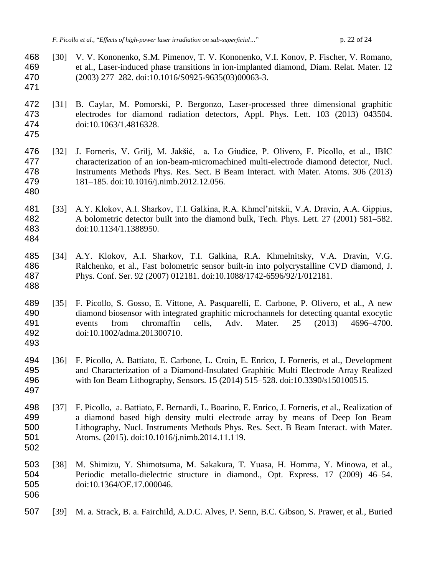- [30] V. V. Kononenko, S.M. Pimenov, T. V. Kononenko, V.I. Konov, P. Fischer, V. Romano, et al., Laser-induced phase transitions in ion-implanted diamond, Diam. Relat. Mater. 12 (2003) 277–282. doi:10.1016/S0925-9635(03)00063-3.
- 
- [31] B. Caylar, M. Pomorski, P. Bergonzo, Laser-processed three dimensional graphitic electrodes for diamond radiation detectors, Appl. Phys. Lett. 103 (2013) 043504. doi:10.1063/1.4816328.
- 

- [32] J. Forneris, V. Grilj, M. Jakšić, a. Lo Giudice, P. Olivero, F. Picollo, et al., IBIC characterization of an ion-beam-micromachined multi-electrode diamond detector, Nucl. Instruments Methods Phys. Res. Sect. B Beam Interact. with Mater. Atoms. 306 (2013) 181–185. doi:10.1016/j.nimb.2012.12.056.
- [33] A.Y. Klokov, A.I. Sharkov, T.I. Galkina, R.A. Khmel'nitskii, V.A. Dravin, A.A. Gippius, A bolometric detector built into the diamond bulk, Tech. Phys. Lett. 27 (2001) 581–582. doi:10.1134/1.1388950.
- [34] A.Y. Klokov, A.I. Sharkov, T.I. Galkina, R.A. Khmelnitsky, V.A. Dravin, V.G. Ralchenko, et al., Fast bolometric sensor built-in into polycrystalline CVD diamond, J. Phys. Conf. Ser. 92 (2007) 012181. doi:10.1088/1742-6596/92/1/012181.
- [35] F. Picollo, S. Gosso, E. Vittone, A. Pasquarelli, E. Carbone, P. Olivero, et al., A new diamond biosensor with integrated graphitic microchannels for detecting quantal exocytic events from chromaffin cells, Adv. Mater. 25 (2013) 4696–4700. doi:10.1002/adma.201300710.
- 

- [36] F. Picollo, A. Battiato, E. Carbone, L. Croin, E. Enrico, J. Forneris, et al., Development and Characterization of a Diamond-Insulated Graphitic Multi Electrode Array Realized with Ion Beam Lithography, Sensors. 15 (2014) 515–528. doi:10.3390/s150100515.
- [37] F. Picollo, a. Battiato, E. Bernardi, L. Boarino, E. Enrico, J. Forneris, et al., Realization of a diamond based high density multi electrode array by means of Deep Ion Beam Lithography, Nucl. Instruments Methods Phys. Res. Sect. B Beam Interact. with Mater. Atoms. (2015). doi:10.1016/j.nimb.2014.11.119.
- 
- [38] M. Shimizu, Y. Shimotsuma, M. Sakakura, T. Yuasa, H. Homma, Y. Minowa, et al., Periodic metallo-dielectric structure in diamond., Opt. Express. 17 (2009) 46–54. doi:10.1364/OE.17.000046.
- 
- [39] M. a. Strack, B. a. Fairchild, A.D.C. Alves, P. Senn, B.C. Gibson, S. Prawer, et al., Buried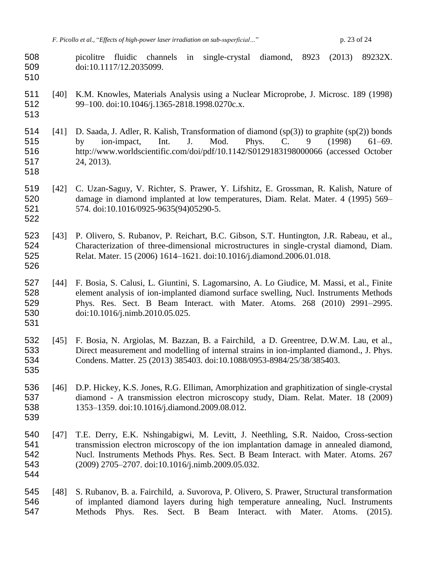*F. Picollo et al.,* "*Effects of high-power laser irradiation on sub-superficial…*" p. 23 of 24

| 508<br>509<br>510                         | picolitre<br>fluidic<br>diamond,<br>8923<br>(2013)<br>89232X.<br>channels<br>in<br>single-crystal<br>doi:10.1117/12.2035099.                                                                                                                                                                                          |
|-------------------------------------------|-----------------------------------------------------------------------------------------------------------------------------------------------------------------------------------------------------------------------------------------------------------------------------------------------------------------------|
| 511<br>$[40]$<br>512<br>513               | K.M. Knowles, Materials Analysis using a Nuclear Microprobe, J. Microsc. 189 (1998)<br>99-100. doi:10.1046/j.1365-2818.1998.0270c.x.                                                                                                                                                                                  |
| 514<br>[41]<br>515<br>516<br>517<br>518   | D. Saada, J. Adler, R. Kalish, Transformation of diamond $(sp(3))$ to graphite $(sp(2))$ bonds<br>J.<br>Mod.<br>Int.<br>Phys.<br>$\mathcal{C}$ .<br>(1998)<br>ion-impact,<br>9<br>$61-69.$<br>by<br>http://www.worldscientific.com/doi/pdf/10.1142/S0129183198000066 (accessed October<br>24, 2013).                  |
| 519<br>[42]<br>520<br>521<br>522          | C. Uzan-Saguy, V. Richter, S. Prawer, Y. Lifshitz, E. Grossman, R. Kalish, Nature of<br>damage in diamond implanted at low temperatures, Diam. Relat. Mater. 4 (1995) 569–<br>574. doi:10.1016/0925-9635(94)05290-5.                                                                                                  |
| 523<br>$[43]$<br>524<br>525<br>526        | P. Olivero, S. Rubanov, P. Reichart, B.C. Gibson, S.T. Huntington, J.R. Rabeau, et al.,<br>Characterization of three-dimensional microstructures in single-crystal diamond, Diam.<br>Relat. Mater. 15 (2006) 1614-1621. doi:10.1016/j.diamond.2006.01.018.                                                            |
| 527<br>$[44]$<br>528<br>529<br>530<br>531 | F. Bosia, S. Calusi, L. Giuntini, S. Lagomarsino, A. Lo Giudice, M. Massi, et al., Finite<br>element analysis of ion-implanted diamond surface swelling, Nucl. Instruments Methods<br>Phys. Res. Sect. B Beam Interact. with Mater. Atoms. 268 (2010) 2991-2995.<br>doi:10.1016/j.nimb.2010.05.025.                   |
| 532<br>$[45]$<br>533<br>534<br>535        | F. Bosia, N. Argiolas, M. Bazzan, B. a Fairchild, a D. Greentree, D.W.M. Lau, et al.,<br>Direct measurement and modelling of internal strains in ion-implanted diamond., J. Phys.<br>Condens. Matter. 25 (2013) 385403. doi:10.1088/0953-8984/25/38/385403.                                                           |
| 536<br>$[46]$<br>537<br>538<br>539        | D.P. Hickey, K.S. Jones, R.G. Elliman, Amorphization and graphitization of single-crystal<br>diamond - A transmission electron microscopy study, Diam. Relat. Mater. 18 (2009)<br>1353-1359. doi:10.1016/j.diamond.2009.08.012.                                                                                       |
| 540<br>$[47]$<br>541<br>542<br>543<br>544 | T.E. Derry, E.K. Nshingabigwi, M. Levitt, J. Neethling, S.R. Naidoo, Cross-section<br>transmission electron microscopy of the ion implantation damage in annealed diamond,<br>Nucl. Instruments Methods Phys. Res. Sect. B Beam Interact. with Mater. Atoms. 267<br>(2009) 2705-2707. doi:10.1016/j.nimb.2009.05.032. |
| 545<br>[48]<br>546<br>547                 | S. Rubanov, B. a. Fairchild, a. Suvorova, P. Olivero, S. Prawer, Structural transformation<br>of implanted diamond layers during high temperature annealing, Nucl. Instruments<br>Interact.<br>with<br>Methods<br>Phys.<br>Res.<br>Sect.<br>B<br>Beam<br>Mater.<br>Atoms.<br>(2015).                                  |